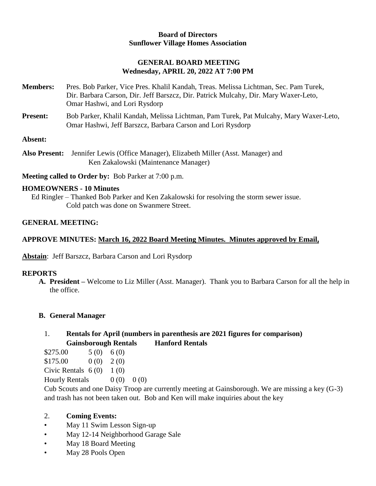#### **Board of Directors Sunflower Village Homes Association**

## **GENERAL BOARD MEETING Wednesday, APRIL 20, 2022 AT 7:00 PM**

- **Members:** Pres. Bob Parker, Vice Pres. Khalil Kandah, Treas. Melissa Lichtman, Sec. Pam Turek, Dir. Barbara Carson, Dir. Jeff Barszcz, Dir. Patrick Mulcahy, Dir. Mary Waxer-Leto, Omar Hashwi, and Lori Rysdorp
- **Present:** Bob Parker, Khalil Kandah, Melissa Lichtman, Pam Turek, Pat Mulcahy, Mary Waxer-Leto, Omar Hashwi, Jeff Barszcz, Barbara Carson and Lori Rysdorp

### **Absent:**

**Also Present:** Jennifer Lewis (Office Manager), Elizabeth Miller (Asst. Manager) and Ken Zakalowski (Maintenance Manager)

**Meeting called to Order by:** Bob Parker at 7:00 p.m.

#### **HOMEOWNERS - 10 Minutes**

Ed Ringler – Thanked Bob Parker and Ken Zakalowski for resolving the storm sewer issue. Cold patch was done on Swanmere Street.

## **GENERAL MEETING:**

## **APPROVE MINUTES: March 16, 2022 Board Meeting Minutes. Minutes approved by Email,**

**Abstain**: Jeff Barszcz, Barbara Carson and Lori Rysdorp

#### **REPORTS**

**A. President –** Welcome to Liz Miller (Asst. Manager).Thank you to Barbara Carson for all the help in the office.

### **B. General Manager**

## 1. **Rentals for April (numbers in parenthesis are 2021 figures for comparison) Gainsborough Rentals Hanford Rentals**

- $$275.00 \qquad 5(0) \qquad 6(0)$  $$175.00$  0 (0) 2 (0)
- Civic Rentals  $6(0)$  1 (0)
- Hourly Rentals  $0 (0) 0 (0)$

Cub Scouts and one Daisy Troop are currently meeting at Gainsborough. We are missing a key (G-3) and trash has not been taken out. Bob and Ken will make inquiries about the key

### 2. **Coming Events:**

- May 11 Swim Lesson Sign-up
- May 12-14 Neighborhood Garage Sale
- May 18 Board Meeting
- May 28 Pools Open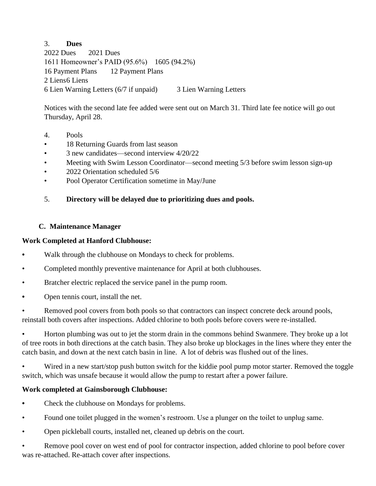## 3. **Dues**

2022 Dues 2021 Dues 1611 Homeowner's PAID (95.6%) 1605 (94.2%) 16 Payment Plans 12 Payment Plans 2 Liens 6 Liens 6 Lien Warning Letters (6/7 if unpaid) 3 Lien Warning Letters

Notices with the second late fee added were sent out on March 31. Third late fee notice will go out Thursday, April 28.

- 4. Pools
- 18 Returning Guards from last season
- 3 new candidates—second interview 4/20/22
- Meeting with Swim Lesson Coordinator—second meeting 5/3 before swim lesson sign-up
- 2022 Orientation scheduled 5/6
- Pool Operator Certification sometime in May/June

## 5. **Directory will be delayed due to prioritizing dues and pools.**

## **C. Maintenance Manager**

### **Work Completed at Hanford Clubhouse:**

- **•** Walk through the clubhouse on Mondays to check for problems.
- Completed monthly preventive maintenance for April at both clubhouses.
- Bratcher electric replaced the service panel in the pump room.
- **•** Open tennis court, install the net.

• Removed pool covers from both pools so that contractors can inspect concrete deck around pools, reinstall both covers after inspections. Added chlorine to both pools before covers were re-installed.

• Horton plumbing was out to jet the storm drain in the commons behind Swanmere. They broke up a lot of tree roots in both directions at the catch basin. They also broke up blockages in the lines where they enter the catch basin, and down at the next catch basin in line. A lot of debris was flushed out of the lines.

• Wired in a new start/stop push button switch for the kiddie pool pump motor starter. Removed the toggle switch, which was unsafe because it would allow the pump to restart after a power failure.

### **Work completed at Gainsborough Clubhouse:**

- **•** Check the clubhouse on Mondays for problems.
- Found one toilet plugged in the women's restroom. Use a plunger on the toilet to unplug same.
- Open pickleball courts, installed net, cleaned up debris on the court.

• Remove pool cover on west end of pool for contractor inspection, added chlorine to pool before cover was re-attached. Re-attach cover after inspections.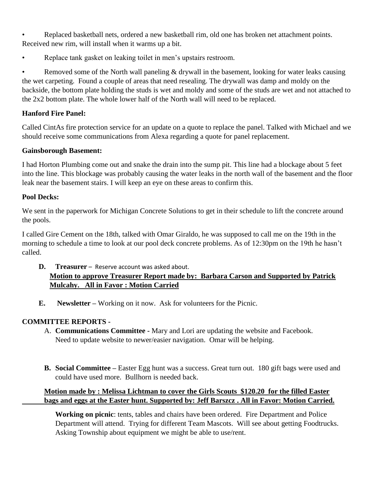• Replaced basketball nets, ordered a new basketball rim, old one has broken net attachment points. Received new rim, will install when it warms up a bit.

Replace tank gasket on leaking toilet in men's upstairs restroom.

• Removed some of the North wall paneling & drywall in the basement, looking for water leaks causing the wet carpeting. Found a couple of areas that need resealing. The drywall was damp and moldy on the backside, the bottom plate holding the studs is wet and moldy and some of the studs are wet and not attached to the 2x2 bottom plate. The whole lower half of the North wall will need to be replaced.

# **Hanford Fire Panel:**

Called CintAs fire protection service for an update on a quote to replace the panel. Talked with Michael and we should receive some communications from Alexa regarding a quote for panel replacement.

# **Gainsborough Basement:**

I had Horton Plumbing come out and snake the drain into the sump pit. This line had a blockage about 5 feet into the line. This blockage was probably causing the water leaks in the north wall of the basement and the floor leak near the basement stairs. I will keep an eye on these areas to confirm this.

# **Pool Decks:**

We sent in the paperwork for Michigan Concrete Solutions to get in their schedule to lift the concrete around the pools.

I called Gire Cement on the 18th, talked with Omar Giraldo, he was supposed to call me on the 19th in the morning to schedule a time to look at our pool deck concrete problems. As of 12:30pm on the 19th he hasn't called.

# **D. Treasurer** – Reserve account was asked about. **Motion to approve Treasurer Report made by: Barbara Carson and Supported by Patrick Mulcahy. All in Favor : Motion Carried**

**E. Newsletter –** Working on it now. Ask for volunteers for the Picnic.

# **COMMITTEE REPORTS -**

- A. **Communications Committee -** Mary and Lori are updating the website and Facebook. Need to update website to newer/easier navigation. Omar will be helping.
- **B. Social Committee –** Easter Egg hunt was a success. Great turn out. 180 gift bags were used and could have used more. Bullhorn is needed back.

# **Motion made by : Melissa Lichtman to cover the Girls Scouts \$120.20 for the filled Easter bags and eggs at the Easter hunt. Supported by: Jeff Barszcz . All in Favor: Motion Carried.**

**Working on picnic**: tents, tables and chairs have been ordered. Fire Department and Police Department will attend. Trying for different Team Mascots. Will see about getting Foodtrucks. Asking Township about equipment we might be able to use/rent.